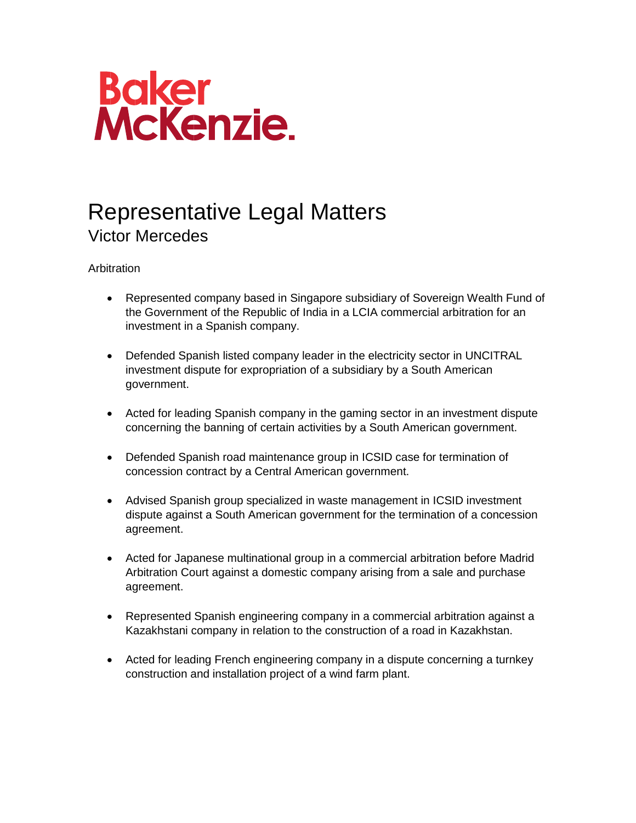

## Representative Legal Matters Victor Mercedes

**Arbitration** 

- Represented company based in Singapore subsidiary of Sovereign Wealth Fund of the Government of the Republic of India in a LCIA commercial arbitration for an investment in a Spanish company.
- Defended Spanish listed company leader in the electricity sector in UNCITRAL investment dispute for expropriation of a subsidiary by a South American government.
- Acted for leading Spanish company in the gaming sector in an investment dispute concerning the banning of certain activities by a South American government.
- Defended Spanish road maintenance group in ICSID case for termination of concession contract by a Central American government.
- Advised Spanish group specialized in waste management in ICSID investment dispute against a South American government for the termination of a concession agreement.
- Acted for Japanese multinational group in a commercial arbitration before Madrid Arbitration Court against a domestic company arising from a sale and purchase agreement.
- Represented Spanish engineering company in a commercial arbitration against a Kazakhstani company in relation to the construction of a road in Kazakhstan.
- Acted for leading French engineering company in a dispute concerning a turnkey construction and installation project of a wind farm plant.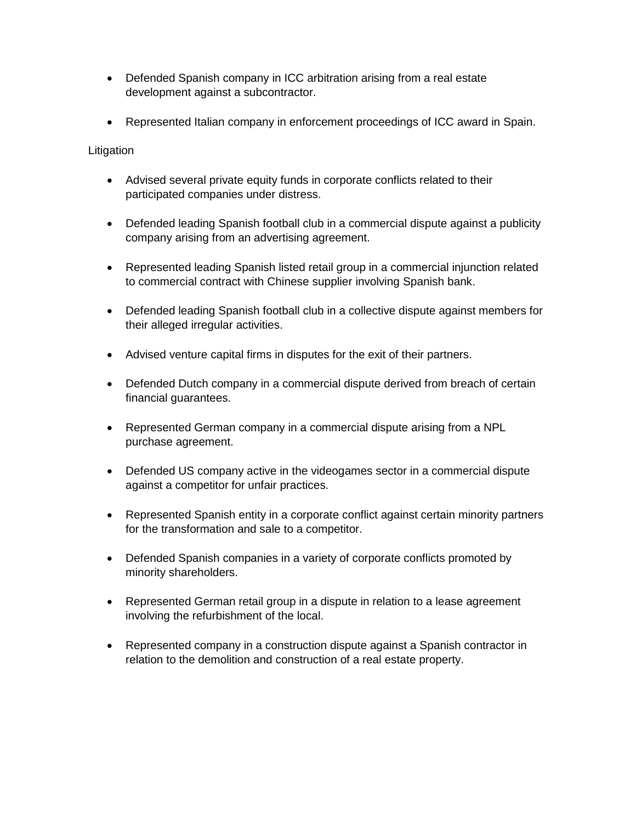- Defended Spanish company in ICC arbitration arising from a real estate development against a subcontractor.
- Represented Italian company in enforcement proceedings of ICC award in Spain.

**Litigation** 

- Advised several private equity funds in corporate conflicts related to their participated companies under distress.
- Defended leading Spanish football club in a commercial dispute against a publicity company arising from an advertising agreement.
- Represented leading Spanish listed retail group in a commercial injunction related to commercial contract with Chinese supplier involving Spanish bank.
- Defended leading Spanish football club in a collective dispute against members for their alleged irregular activities.
- Advised venture capital firms in disputes for the exit of their partners.
- Defended Dutch company in a commercial dispute derived from breach of certain financial guarantees.
- Represented German company in a commercial dispute arising from a NPL purchase agreement.
- Defended US company active in the videogames sector in a commercial dispute against a competitor for unfair practices.
- Represented Spanish entity in a corporate conflict against certain minority partners for the transformation and sale to a competitor.
- Defended Spanish companies in a variety of corporate conflicts promoted by minority shareholders.
- Represented German retail group in a dispute in relation to a lease agreement involving the refurbishment of the local.
- Represented company in a construction dispute against a Spanish contractor in relation to the demolition and construction of a real estate property.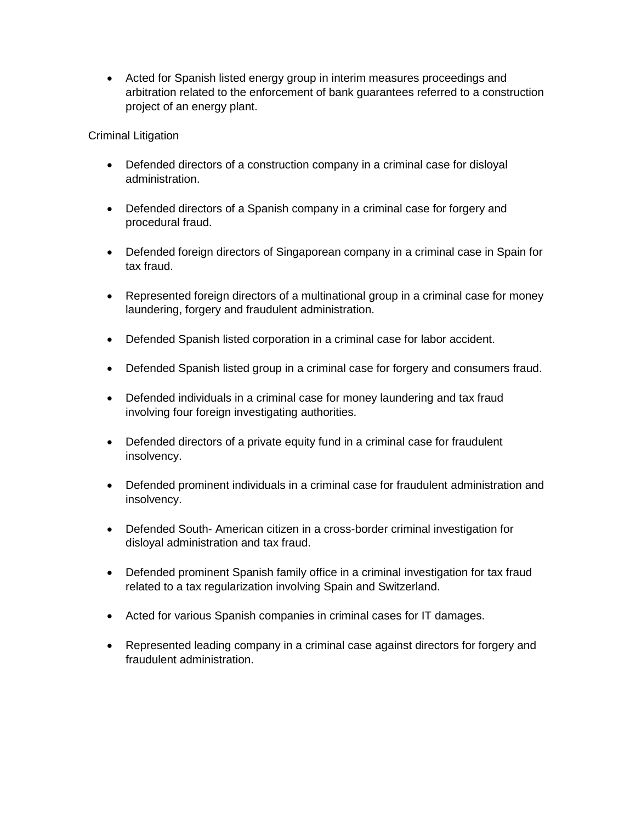• Acted for Spanish listed energy group in interim measures proceedings and arbitration related to the enforcement of bank guarantees referred to a construction project of an energy plant.

Criminal Litigation

- Defended directors of a construction company in a criminal case for disloyal administration.
- Defended directors of a Spanish company in a criminal case for forgery and procedural fraud.
- Defended foreign directors of Singaporean company in a criminal case in Spain for tax fraud.
- Represented foreign directors of a multinational group in a criminal case for money laundering, forgery and fraudulent administration.
- Defended Spanish listed corporation in a criminal case for labor accident.
- Defended Spanish listed group in a criminal case for forgery and consumers fraud.
- Defended individuals in a criminal case for money laundering and tax fraud involving four foreign investigating authorities.
- Defended directors of a private equity fund in a criminal case for fraudulent insolvency.
- Defended prominent individuals in a criminal case for fraudulent administration and insolvency.
- Defended South- American citizen in a cross-border criminal investigation for disloyal administration and tax fraud.
- Defended prominent Spanish family office in a criminal investigation for tax fraud related to a tax regularization involving Spain and Switzerland.
- Acted for various Spanish companies in criminal cases for IT damages.
- Represented leading company in a criminal case against directors for forgery and fraudulent administration.